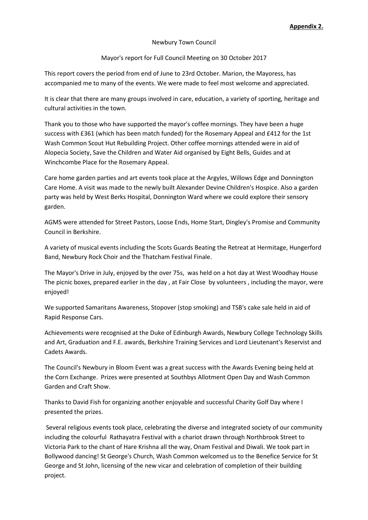## Newbury Town Council

## Mayor's report for Full Council Meeting on 30 October 2017

This report covers the period from end of June to 23rd October. Marion, the Mayoress, has accompanied me to many of the events. We were made to feel most welcome and appreciated.

It is clear that there are many groups involved in care, education, a variety of sporting, heritage and cultural activities in the town.

Thank you to those who have supported the mayor's coffee mornings. They have been a huge success with £361 (which has been match funded) for the Rosemary Appeal and £412 for the 1st Wash Common Scout Hut Rebuilding Project. Other coffee mornings attended were in aid of Alopecia Society, Save the Children and Water Aid organised by Eight Bells, Guides and at Winchcombe Place for the Rosemary Appeal.

Care home garden parties and art events took place at the Argyles, Willows Edge and Donnington Care Home. A visit was made to the newly built Alexander Devine Children's Hospice. Also a garden party was held by West Berks Hospital, Donnington Ward where we could explore their sensory garden.

AGMS were attended for Street Pastors, Loose Ends, Home Start, Dingley's Promise and Community Council in Berkshire.

A variety of musical events including the Scots Guards Beating the Retreat at Hermitage, Hungerford Band, Newbury Rock Choir and the Thatcham Festival Finale.

The Mayor's Drive in July, enjoyed by the over 75s, was held on a hot day at West Woodhay House The picnic boxes, prepared earlier in the day , at Fair Close by volunteers , including the mayor, were enjoyed!

We supported Samaritans Awareness, Stopover (stop smoking) and TSB's cake sale held in aid of Rapid Response Cars.

Achievements were recognised at the Duke of Edinburgh Awards, Newbury College Technology Skills and Art, Graduation and F.E. awards, Berkshire Training Services and Lord Lieutenant's Reservist and Cadets Awards.

The Council's Newbury in Bloom Event was a great success with the Awards Evening being held at the Corn Exchange. Prizes were presented at Southbys Allotment Open Day and Wash Common Garden and Craft Show.

Thanks to David Fish for organizing another enjoyable and successful Charity Golf Day where I presented the prizes.

Several religious events took place, celebrating the diverse and integrated society of our community including the colourful Rathayatra Festival with a chariot drawn through Northbrook Street to Victoria Park to the chant of Hare Krishna all the way, Onam Festival and Diwali. We took part in Bollywood dancing! St George's Church, Wash Common welcomed us to the Benefice Service for St George and St John, licensing of the new vicar and celebration of completion of their building project.